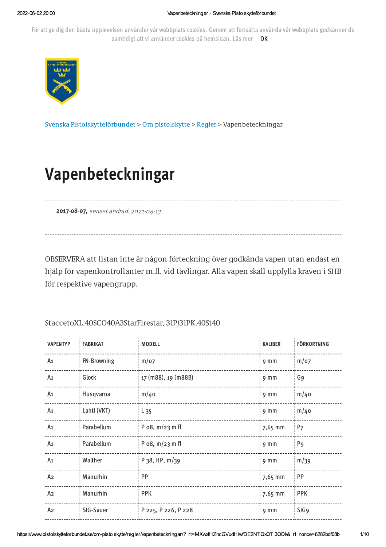För att ge dig den bästa upplevelsen använder vår webbplats cookies. Genom att fortsätta använda vår webbplats godkänner du samtidigt att vi använder cookies på hemsidan. Läs mer OK



Svenska Pistolskytteförbundet > Om pistolskytte > Regler > Vapenbeteckningar

# Vapenbeteckningar

2017-08-07, senast ändrad: 2021-04-13

OBSERVERA att listan inte är någon förteckning över godkända vapen utan endast en hjälp för vapenkontrollanter m.fl. vid tävlingar. Alla vapen skall uppfylla kraven i SHB

för respektive vapengrupp.

## StaccetoXL.40SCO40A3StarFirestar, 31P/31PK.40St40

| <b>VAPENTYP</b> | <b>FABRIKAT</b> | MODELL               | <b>KALIBER</b>  | <b>FÖRKORTNING</b> |
|-----------------|-----------------|----------------------|-----------------|--------------------|
| A1              | FN-Browning     | $m$ /07              | 9 <sub>mm</sub> | $m$ /07            |
| A1              | Glock           | 17 (m88), 19 (m88B)  | 9 <sub>mm</sub> | G <sub>9</sub>     |
| A1              | Husqvarna       | m/40                 | 9 <sub>mm</sub> | m/40               |
| A1              | Lahti (VKT)     | $L_{35}$             | 9 <sub>mm</sub> | m/40               |
| A <sub>1</sub>  | Parabellum      | P $o8$ , $m/23$ m fl | 7,65 mm         | P <sub>7</sub>     |
| A1              | Parabellum      | P $08$ , m/23 m fl   | 9 <sub>mm</sub> | P <sub>9</sub>     |
| A1              | Walther         | P 38, HP, $m/39$     | 9 <sub>mm</sub> | m/39               |
| A <sub>2</sub>  | Manurhin        | PP                   | 7,65 mm         | PP                 |
| Az              | Manurhin        | <b>PPK</b>           | 7,65 mm         | <b>PPK</b>         |
| A <sub>2</sub>  | SIG-Sauer       | P 225, P 226, P 228  | 9 <sub>mm</sub> | SIG <sub>9</sub>   |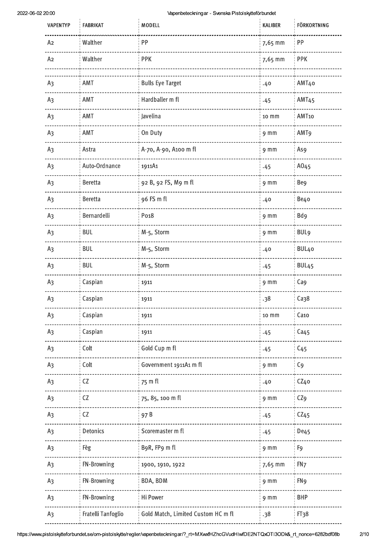| <b>VAPENTYP</b> | <b>FABRIKAT</b>    | MODELL                             | KALIBER         | <b>FÖRKORTNING</b> |
|-----------------|--------------------|------------------------------------|-----------------|--------------------|
| Az              | Walther            | PP                                 | 7,65 mm         | PP                 |
| A <sub>2</sub>  | Walther            | <b>PPK</b>                         | 7,65 mm         | <b>PPK</b>         |
| A <sub>3</sub>  | AMT                | <b>Bulls Eye Target</b>            |                 | AMT40              |
|                 |                    |                                    | .40             |                    |
| A <sub>3</sub>  | AMT                | Hardballer m fl                    | .45             | AMT <sub>45</sub>  |
| A <sub>3</sub>  | AMT                | Javelina                           | 10 mm           | AMT10              |
| A <sub>3</sub>  | AMT                | On Duty                            | 9 <sub>mm</sub> | AMT <sub>9</sub>   |
| A <sub>3</sub>  | Astra              | A-70, A-90, A100 m fl              | 9 <sub>mm</sub> | As9                |
| A <sub>3</sub>  | Auto-Ordnance      | 1911A1                             | .45             | A045               |
| A <sub>3</sub>  | <b>Beretta</b>     | 92 B, 92 FS, M9 m fl               | 9 <sub>mm</sub> | Be9                |
| A <sub>3</sub>  | <b>Beretta</b>     | 96 FS m fl                         | .40             | Be40               |
| A <sub>3</sub>  | Bernardelli        | Po <sub>18</sub>                   | 9 <sub>mm</sub> | Bd9                |
| A <sub>3</sub>  | <b>BUL</b>         | M-5, Storm                         | 9 <sub>mm</sub> | <b>BUL9</b>        |
| A <sub>3</sub>  | <b>BUL</b>         | M-5, Storm                         | .40             | BUL <sub>40</sub>  |
| A <sub>3</sub>  | <b>BUL</b>         | M-5, Storm                         | .45             | BUL <sub>45</sub>  |
| A <sub>3</sub>  | Caspian            | 1911                               | 9 <sub>mm</sub> | Ca9                |
| A <sub>3</sub>  | Caspian            | 1911                               | .38             | Ca38               |
| A <sub>3</sub>  | Caspian            | 1911                               | 10 mm           | Ca <sub>10</sub>   |
| A <sub>3</sub>  | Caspian            | 1911                               | .45             | Ca45               |
| A <sub>3</sub>  | Colt               | Gold Cup m fl                      | .45             | C <sub>45</sub>    |
| A <sub>3</sub>  | Colt               | Government 1911A1 m fl             | 9 <sub>mm</sub> | C <sub>9</sub>     |
| A <sub>3</sub>  | CZ                 | 75 m fl                            | .40             | CZ40               |
| A <sub>3</sub>  | CZ                 | 75, 85, 100 m fl                   | 9 <sub>mm</sub> | CZ <sub>9</sub>    |
| A <sub>3</sub>  | ${\sf CZ}$         | 97B                                | .45             | CZ45               |
| A <sub>3</sub>  | Detonics           | Scoremaster m fl                   | .45             | <b>De45</b>        |
| A <sub>3</sub>  | Fèg                | B9R, FP9 m fl                      | 9 <sub>mm</sub> | F9                 |
| A <sub>3</sub>  | FN-Browning        | 1900, 1910, 1922                   | 7,65 mm         | FN <sub>7</sub>    |
| A <sub>3</sub>  | FN-Browning        | BDA, BDM                           | 9 <sub>mm</sub> | FN <sub>9</sub>    |
| A <sub>3</sub>  | FN-Browning        | Hi Power                           | 9 <sub>mm</sub> | <b>BHP</b>         |
| A <sub>3</sub>  | Fratelli Tanfoglio | Gold Match, Limited Custom HC m fl | .38             | FI38               |
|                 |                    |                                    |                 |                    |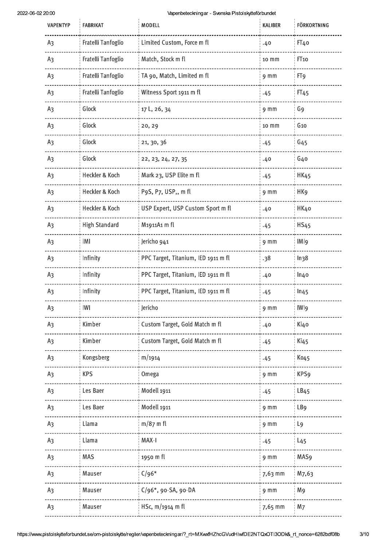| <b>VAPENTYP</b> | <b>FABRIKAT</b>      | MODELL                              | KALIBER         | <b>FÖRKORTNING</b> |
|-----------------|----------------------|-------------------------------------|-----------------|--------------------|
| A <sub>3</sub>  | Fratelli Tanfoglio   | Limited Custom, Force m fl          | .40             | FI <sub>40</sub>   |
| A <sub>3</sub>  | Fratelli Tanfoglio   | Match, Stock m fl                   | 10 mm           | FI <sub>10</sub>   |
| A3              | Fratelli Tanfoglio   | TA 90, Match, Limited m fl          | 9 <sub>mm</sub> | FT <sub>9</sub>    |
| A <sub>3</sub>  | Fratelli Tanfoglio   | Witness Sport 1911 m fl             | .45             | FI45               |
| A <sub>3</sub>  | Glock                | 17 L, 26, 34                        | 9 <sub>mm</sub> | G9                 |
| A <sub>3</sub>  | Glock                | 20, 29                              | 10 mm           | $G_{10}$           |
| A <sub>3</sub>  | Glock                | 21, 30, 36                          | .45             | G <sub>45</sub>    |
| A <sub>3</sub>  | Glock                | 22, 23, 24, 27, 35                  | .40             | G <sub>4</sub> o   |
| A <sub>3</sub>  | Heckler & Koch       | Mark 23, USP Elite m fl             | .45             | <b>HK45</b>        |
| A <sub>3</sub>  | Heckler & Koch       | P9S, P7, USP,, m fl                 | 9 <sub>mm</sub> | HK <sub>9</sub>    |
| A <sub>3</sub>  | Heckler & Koch       | USP Expert, USP Custom Sport m fl   | .40             | HK40               |
| A <sub>3</sub>  | <b>High Standard</b> | M1911A1 m fl                        | .45             | <b>HS45</b>        |
| A <sub>3</sub>  | IMI                  | Jericho 941                         | 9 mm            | IMI9               |
| A <sub>3</sub>  | Infinity             | PPC Target, Titanium, IED 1911 m fl | .38             | ln <sub>38</sub>   |
| A <sub>3</sub>  | Infinity             | PPC Target, Titanium, IED 1911 m fl | .40             | ln40               |
| A <sub>3</sub>  | Infinity             | PPC Target, Titanium, IED 1911 m fl | .45             | ln45               |
| A3              | IWI                  | Jericho                             | 9 <sub>mm</sub> | IWI9               |
| A <sub>3</sub>  | Kimber               | Custom Target, Gold Match m fl      | .40             | Ki40               |
| A <sub>3</sub>  | Kimber               | Custom Target, Gold Match m fl      | .45             | Ki <sub>45</sub>   |
| A <sub>3</sub>  | Kongsberg            | m/1914                              | .45             | Ko <sub>45</sub>   |
| A <sub>3</sub>  | <b>KPS</b>           | Omega                               | 9 <sub>mm</sub> | KPS <sub>9</sub>   |
| A <sub>3</sub>  | Les Baer             | Modell 1911                         | .45             | LB45               |
| A <sub>3</sub>  | Les Baer             | Modell 1911                         | 9 <sub>mm</sub> | LB <sub>9</sub>    |
| A <sub>3</sub>  | Llama                | $m/87$ m fl                         | 9 <sub>mm</sub> | L <sub>9</sub>     |
| A <sub>3</sub>  | Llama                | MAX-I                               | .45             | $L_{45}$           |
| A <sub>3</sub>  | MAS                  | 1950 m fl                           | 9 <sub>mm</sub> | MAS <sub>9</sub>   |
| A <sub>3</sub>  | Mauser               | $C/96*$                             | 7,63 mm         | M7,63              |
| A <sub>3</sub>  | Mauser               | $C/96$ *, 90-SA, 90-DA              | 9 <sub>mm</sub> | M <sub>9</sub>     |
| A3              | Mauser               | HSc, $m/1914$ m fl                  | 7,65 mm         | M <sub>7</sub>     |

 $3/10$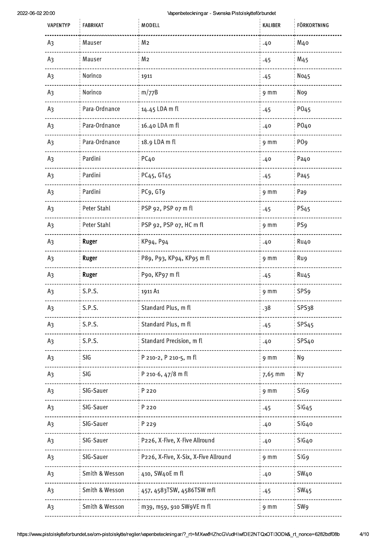$\bar{1}$ 

| <b>VAPENTYP</b>                                                                                                             | <b>FABRIKAT</b> | MODELL                               | KALIBER          | <b>FÖRKORTNING</b>     |
|-----------------------------------------------------------------------------------------------------------------------------|-----------------|--------------------------------------|------------------|------------------------|
| A <sub>3</sub>                                                                                                              | Mauser          | M <sub>2</sub>                       | .40              | M <sub>4</sub> o       |
| A <sub>3</sub>                                                                                                              | Mauser          | M <sub>2</sub>                       | .45              | M <sub>45</sub>        |
| A <sub>3</sub>                                                                                                              | Norinco         | 1911                                 | .45              | No45                   |
| A <sub>3</sub>                                                                                                              | Norinco         | m/77B                                | $9 \, \text{mm}$ | No9                    |
| A <sub>3</sub>                                                                                                              | Para-Ordnance   | 14.45 LDA m fl                       | .45              | PO <sub>45</sub>       |
| A <sub>3</sub>                                                                                                              | Para-Ordnance   | 16.40 LDA m fl                       | .40              | P040                   |
| A <sub>3</sub>                                                                                                              | Para-Ordnance   | 18.9 LDA m fl                        | 9 mm             | PO <sub>9</sub>        |
| A <sub>3</sub>                                                                                                              | Pardini         | PC <sub>40</sub>                     | .40              | Pa40                   |
| A <sub>3</sub>                                                                                                              | Pardini         | PC <sub>45</sub> , GT <sub>45</sub>  | .45              | Pa <sub>45</sub>       |
| A <sub>3</sub>                                                                                                              | Pardini         | PC9, GT9                             | 9 mm             | Pa9                    |
| A <sub>3</sub>                                                                                                              | Peter Stahl     | PSP 92, PSP 07 m fl                  | .45              | <b>PS45</b>            |
| A <sub>3</sub>                                                                                                              | Peter Stahl     | PSP 92, PSP 07, HC m fl              | 9 mm             | PS <sub>9</sub>        |
| A <sub>3</sub>                                                                                                              | Ruger           | KP94, P94                            | .40              | Ru4o                   |
| A <sub>3</sub>                                                                                                              | Ruger           | P89, P93, KP94, KP95 m fl            | 9 mm             | Ru9                    |
| A <sub>3</sub>                                                                                                              | Ruger           | P90, KP97 m fl                       | .45              | <b>Ru45</b>            |
| A <sub>3</sub>                                                                                                              | S.P.S.          | 1911 A1                              | 9 mm             | <b>SPS9</b>            |
| A <sub>3</sub>                                                                                                              | S.P.S.          | Standard Plus, m fl                  | .38              | SPS <sub>3</sub> 8     |
| A <sub>3</sub>                                                                                                              | S.P.S.          | Standard Plus, m fl                  | .45              | SPS <sub>45</sub>      |
| A <sub>3</sub>                                                                                                              | S.P.S.          | Standard Precision, m fl             | .40              | SPS <sub>40</sub>      |
| A <sub>3</sub>                                                                                                              | SIG             | P 210-2, P 210-5, m fl               | 9 <sub>mm</sub>  | N <sub>9</sub>         |
| A <sub>3</sub>                                                                                                              | SIG             | P 210-6, 47/8 m fl                   | 7,65 mm          | N <sub>7</sub>         |
| A <sub>3</sub>                                                                                                              | SIG-Sauer       | P 220                                | 9 <sub>mm</sub>  | SIG <sub>9</sub>       |
| A <sub>3</sub>                                                                                                              | SIG-Sauer       | P 220                                | .45              | SIG45                  |
| A <sub>3</sub>                                                                                                              | SIG-Sauer       | P 229                                | .40              | SIG40                  |
| A <sub>3</sub>                                                                                                              | SIG-Sauer       | P226, X-Five, X-Five Allround        | .40              | SIG40                  |
| A <sub>3</sub>                                                                                                              | SIG-Sauer       | P226, X-Five, X-Six, X-Five Allround | 9 <sub>mm</sub>  | SIG <sub>9</sub>       |
| A <sub>3</sub>                                                                                                              | Smith & Wesson  | 410, SW40E m fl                      | .40              | SW <sub>40</sub>       |
| A <sub>3</sub>                                                                                                              | Smith & Wesson  | 457, 4583TSW, 4586TSW mfl            | .45              | <b>SW<sub>45</sub></b> |
| A <sub>3</sub>                                                                                                              | Smith & Wesson  | m39, m59, 910 SW9VE m fl             | 9 <sub>mm</sub>  | SW <sub>9</sub>        |
| pistolskytteforbundet.se/om-pistolskytte/reg1er/vapenbeteckningar/?_rt=MXwxfHZhcGVudHIwfDE2NTQxOTI3ODk&_rt_nonce=6282bdf08b |                 |                                      |                  |                        |
|                                                                                                                             |                 |                                      |                  |                        |
|                                                                                                                             |                 |                                      |                  |                        |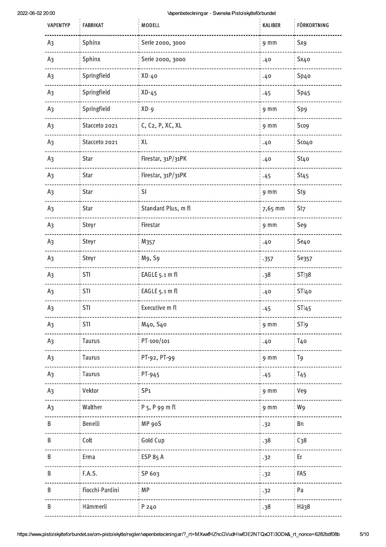| <b>VAPENTYP</b> | <b>FABRIKAT</b> | MODELL                        | KALIBER         | <b>FÖRKORTNING</b> |
|-----------------|-----------------|-------------------------------|-----------------|--------------------|
| A <sub>3</sub>  | Sphinx          | Serie 2000, 3000              | 9 mm            | Sx9                |
| A <sub>3</sub>  | Sphinx          | Serie 2000, 3000              | .40             | Sx40               |
| A <sub>3</sub>  | Springfield     | XD-40                         | .40             | Sp <sub>40</sub>   |
| A <sub>3</sub>  | Springfield     | $XD-45$                       | .45             | Sp45               |
| A <sub>3</sub>  | Springfield     | $XD - 9$                      | 9 <sub>mm</sub> | Sp9                |
| A <sub>3</sub>  | Stacceto 2021   | C, C <sub>2</sub> , P, XC, XL | 9 <sub>mm</sub> | Sco9               |
| A <sub>3</sub>  | Stacceto 2021   | XL                            | .40             | Sco4o              |
| A <sub>3</sub>  | Star            | Firestar, 31P/31PK            | .40             | St40               |
| A <sub>3</sub>  | Star            | Firestar, 31P/31PK            | .45             | St <sub>45</sub>   |
| A <sub>3</sub>  | Star            | SI                            | 9 <sub>mm</sub> | St9                |
| A <sub>3</sub>  | <b>Star</b>     | Standard Plus, m fl           | 7,65 mm         | St7                |
| A <sub>3</sub>  | Steyr           | Firestar                      | 9 mm            | Se9                |
| A <sub>3</sub>  | Steyr           | M357                          | .40             | Se40               |
| A <sub>3</sub>  | Steyr           | M9, S9                        | .357            | Se357              |
| A <sub>3</sub>  | STI             | EAGLE 5.1 m fl                | .38             | STl <sub>38</sub>  |
| A <sub>3</sub>  | STI             | EAGLE 5.1 m fl                | .40             | STI40              |
| A3              | STI             | Executive m fl                | .45             | STI45              |
| A <sub>3</sub>  | STI             | M40, S40                      | 9 <sub>mm</sub> | STI9               |
| A <sub>3</sub>  | Taurus          | PT-100/101                    | .40             | T <sub>4</sub> o   |
| A <sub>3</sub>  | Taurus          | PT-92, PT-99                  | 9 <sub>mm</sub> | T <sub>9</sub>     |
| A <sub>3</sub>  | <b>Taurus</b>   | PT-945                        | .45             | T <sub>45</sub>    |
| A <sub>3</sub>  | Vektor          | SP <sub>1</sub>               | 9 <sub>mm</sub> | Ve9                |
| A <sub>3</sub>  | Walther         | P 5, P 99 m fl                | 9 <sub>mm</sub> | W9                 |
| $\sf B$         | Benelli         | MP 90S                        | .32             | Bn                 |
| В               | Colt            | Gold Cup                      | .38             | C <sub>38</sub>    |
| B               | Erma            | <b>ESP 85 A</b>               | .32             | Er                 |
| B               | F.A.S.          | SP 603                        | .32             | FAS                |
| B               | Fiocchi-Pardini | MP                            | .32             | Pa                 |
| B               | Hämmerli        | P 240                         | .38             | Hä38               |
|                 |                 |                               |                 |                    |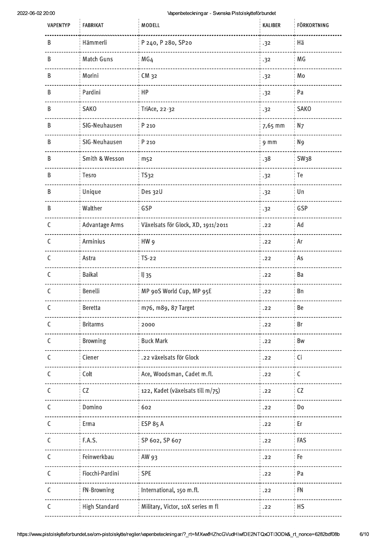J.

J.

| <b>VAPENTYP</b> | <b>FABRIKAT</b>       | MODELL                             | <b>KALIBER</b>  | <b>FÖRKORTNING</b> |
|-----------------|-----------------------|------------------------------------|-----------------|--------------------|
| В               | Hämmerli              | P 240, P 280, SP20                 | .32             | Hä                 |
| В               | Match Guns            | MG4                                | .32             | MG                 |
| B               | Morini                | CM 32                              | .32             | Mo                 |
| В               | Pardini               | HP                                 | .32             | Pa                 |
| B               | <b>SAKO</b>           | TriAce, 22-32                      | .32             | <b>SAKO</b>        |
| B               | SIG-Neuhausen         | P 210                              | 7,65 mm         | N <sub>7</sub>     |
| В               | SIG-Neuhausen         | P 210                              | 9 <sub>mm</sub> | N <sub>9</sub>     |
| В               | Smith & Wesson        | m <sub>52</sub>                    | .38             | SW <sub>3</sub> 8  |
| B               | Tesro                 | <b>TS32</b>                        | .32             | Te                 |
| B               | Unique                | Des 32U                            | .32             | Un                 |
| B               | Walther               | GSP                                | .32             | GSP                |
| $\mathsf{C}$    | <b>Advantage Arms</b> | Växelsats för Glock, XD, 1911/2011 | .22             | Ad                 |
| C               | Arminius              | HW <sub>9</sub>                    | .22             | Ar                 |
| $\mathsf{C}$    | Astra                 | $TS-22$                            | .22             | As                 |
| C               | <b>Baikal</b>         | $II$ 35                            | .22             | Ba                 |
| C               | Benelli               | MP 90S World Cup, MP 95E           | .22             | Bn                 |
| С               | <b>Beretta</b>        | m76, m89, 87 Target                | .22             | Be                 |
| C               | <b>Britarms</b>       | 2000                               | .22             | Br                 |
| C               | <b>Browning</b>       | <b>Buck Mark</b>                   | .22             | <b>Bw</b>          |
| C               | Ciener                | .22 växelsats för Glock            | .22             | Ci                 |
| C               | Colt                  | Ace, Woodsman, Cadet m.fl.         | .22             | $\mathsf C$        |
| C               | ${\sf CZ}$            | 122, Kadet (växelsats till m/75)   | .22             | CZ                 |
| C               | Domino                | 602                                | .22             | D <sub>0</sub>     |
| C               | Erma                  | <b>ESP 85 A</b>                    | .22             | Er                 |
| C               | F.A.S.                | SP 602, SP 607                     | .22             | FAS                |
| C               | Feinwerkbau           | AW 93                              | .22             | Fe                 |
| C               | Fiocchi-Pardini       | <b>SPE</b>                         | .22             | Pa                 |
| C               | FN-Browning           | International, 150 m.fl.           | .22             | <b>FN</b>          |
| C               | <b>High Standard</b>  | Military, Victor, 10X series m fl  | .22             | HS                 |
|                 |                       |                                    |                 |                    |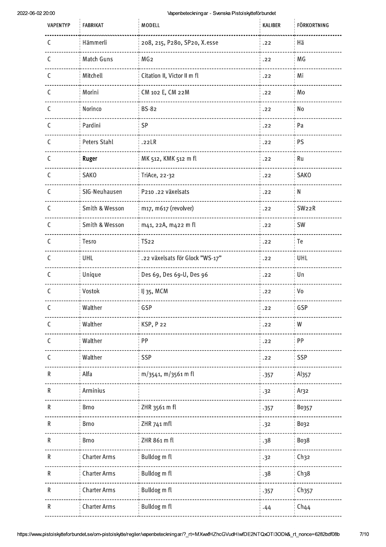J.

J.

 $7/10$ 

| <b>VAPENTYP</b> | <b>FABRIKAT</b>     | MODELL                          | KALIBER | <b>FÖRKORTNING</b> |
|-----------------|---------------------|---------------------------------|---------|--------------------|
| C               | Hämmerli            | 208, 215, P280, SP20, X.esse    | .22     | Hä                 |
| C               | Match Guns          | MG <sub>2</sub>                 | .22     | MG                 |
| C               | Mitchell            | Citation II, Victor II m fl     | .22     | Mi                 |
| C               | Morini              | CM 102 E, CM 22M                | .22     | Mo                 |
| C               | Norinco             | <b>BS-82</b>                    | .22     | No                 |
| $\mathsf C$     | Pardini             | SP                              | .22     | Pa                 |
| C               | Peters Stahl        | .22LR                           | .22     | PS                 |
| C               | Ruger               | MK 512, KMK 512 m fl            | .22     | Ru                 |
| C               | <b>SAKO</b>         | TriAce, 22-32                   | .22     | <b>SAKO</b>        |
| C               | SIG-Neuhausen       | P210.22 växelsats               | .22     | N                  |
| C               | Smith & Wesson      | m17, m617 (revolver)            | .22     | SW <sub>22</sub> R |
| C               | Smith & Wesson      | m41, 22A, m422 m fl             | .22     | SW                 |
| C               | Tesro               | <b>TS22</b>                     | .22     | Te                 |
| C               | UHL                 | .22 växelsats för Glock "WS-17" | .22     | UHL                |
| C               | Unique              | Des 69, Des 69-U, Des 96        | .22     | Un                 |
| C               | Vostok              | IJ 35, MCM                      | .22     | Vo                 |
| C               | Walther             | GSP                             | .22     | GSP                |
| C               | Walther             | KSP, P22                        | .22     | W                  |
| C               | Walther             | PP                              | .22     | PP                 |
| C               | Walther             | <b>SSP</b>                      | .22     | <b>SSP</b>         |
| R               | Alfa                | m/3541, m/3561 m fl             | .357    | Al <sub>357</sub>  |
| $\mathsf R$     | Arminius            |                                 | .32     | Ar32               |
| R               | Brno                | ZHR 3561 m fl                   | .357    | Bo357              |
| R               | Brno                | ZHR 741 mfl                     | .32     | Bo32               |
| R               | <b>Brno</b>         | ZHR 861 m fl                    | .38     | Bo38               |
| R               | <b>Charter Arms</b> | Bulldog m fl                    | .32     | Ch32               |
| R               | <b>Charter Arms</b> | Bulldog m fl                    | .38     | Ch38               |
| R               | <b>Charter Arms</b> | Bulldog m fl                    | .357    | Ch357              |
| R               | <b>Charter Arms</b> | Bulldog m fl                    | .44     | Ch44               |
|                 |                     |                                 |         |                    |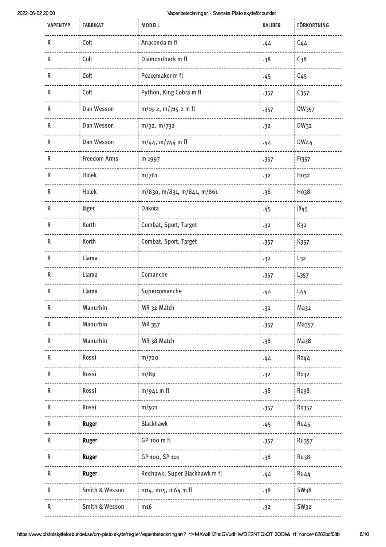| <b>VAPENTYP</b> | <b>FABRIKAT</b>           | MODELL                        | KALIBER | <b>FÖRKORTNING</b> |
|-----------------|---------------------------|-------------------------------|---------|--------------------|
| R               | Colt                      | Anaconda m fl                 | .44     | $C_{44}$           |
| R               | Colt                      | Diamondback m fl              | .38     | C <sub>38</sub>    |
| R               | Colt                      | Peacemaker m fl               | .45     | C <sub>45</sub>    |
| R               | Colt                      | Python, King Cobra m fl       | .357    | C <sub>357</sub>   |
| R               | Dan Wesson                | $m/15-2$ , $m/715-2$ m fl     | .357    | DW357              |
| R               | Dan Wesson                | m/32, m/732                   | .32     | DW32               |
| R               | Dan Wesson                | $m/44$ , $m/744$ m fl         | .44     | DW44               |
| R               | <b>Freedom Arms</b>       | m 1997                        | .357    | Fr357              |
| R               | Holek                     | m/761                         | .32     | H032               |
| R               | Holek                     | m/830, m/831, m/841, m/861    | .38     | Ho38               |
| R               | Jäger                     | Dakota                        | .45     | Jä45               |
| R               | Korth                     | Combat, Sport, Target         | .32     | K <sub>32</sub>    |
| ${\sf R}$       | Korth                     | Combat, Sport, Target         | .357    | K357               |
| $\mathsf R$     | Llama                     |                               | .32     | $L_{32}$           |
| R               | Llama                     | Comanche                      | .357    | L <sub>357</sub>   |
| R               | Llama                     | Supercomanche                 | .44     | $L_{44}$           |
| R               | Manurhin                  | MR 32 Match                   | .32     | Маз2               |
| ${\sf R}$       | Manurhin                  | MR 357                        | .357    | Ma357              |
| R               | Manurhin                  | MR 38 Match                   | .38     | Маз8               |
| R               | Rossi                     | m/720                         | .44     | <b>Ro44</b>        |
| R               | Rossi                     | m/89                          | .32     | Ro32               |
| R               | Rossi                     | $m/941$ m fl                  | .38     | Ro38               |
| R               | Rossi                     | m/971                         | .357    | Ro357              |
| R               | Ruger                     | <b>Blackhawk</b>              | .45     | <b>Ru45</b>        |
| ${\sf R}$       | Ruger                     | GP 100 m fl                   | .357    | <b>Ru357</b>       |
| R               | Ruger                     | GP 100, SP 101                | .38     | <b>Ru38</b>        |
| R               | Ruger                     | Redhawk, Super Blackhawk m fl | .44     | Ru44               |
| R               | <b>Smith &amp; Wesson</b> | m14, m15, m64 m fl            | .38     | SW <sub>38</sub>   |
| R               | Smith & Wesson            | m16                           | .32     | <b>SW32</b>        |
|                 |                           |                               |         |                    |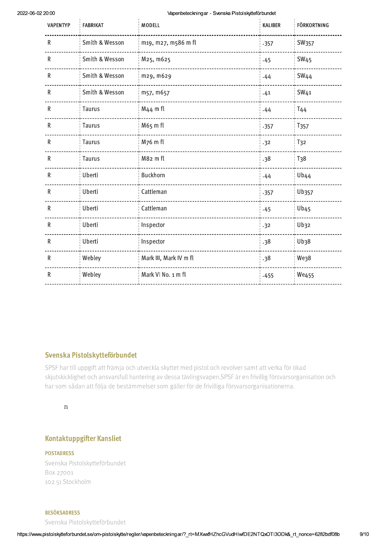| <b>VAPENTYP</b> | <b>FABRIKAT</b> | MODELL                 | KALIBER | <b>FÖRKORTNING</b>     |
|-----------------|-----------------|------------------------|---------|------------------------|
| ${\sf R}$       | Smith & Wesson  | m19, m27, m586 m fl    | .357    | SW357                  |
| ${\sf R}$       | Smith & Wesson  | M25, m625              | .45     | <b>SW<sub>45</sub></b> |
| R               | Smith & Wesson  | m29, m629              | .44     | <b>SW44</b>            |
| ${\sf R}$       | Smith & Wesson  | m57, m657              | .41     | SW <sub>41</sub>       |
| ${\sf R}$       | Taurus          | M44 m fl               | .44     | T44                    |
| ${\sf R}$       | Taurus          | M65 m fl               | .357    | T <sub>357</sub>       |
| ${\sf R}$       | Taurus          | M76 m fl               | .32     | T <sub>32</sub>        |
| ${\sf R}$       | Taurus          | M82 m fl               | .38     | T <sub>38</sub>        |
| $\mathsf R$     | Uberti          | <b>Buckhorn</b>        | .44     | Ub <sub>44</sub>       |
| $\mathsf R$     | Uberti          | Cattleman              | .357    | Ub357                  |
| $\mathsf R$     | Uberti          | Cattleman              | .45     | Ub45                   |
| R               | Uberti          | Inspector              | .32     | Ub32                   |
| $\mathsf R$     | Uberti          | Inspector              | .38     | Ub38                   |
| R               | Webley          | Mark III, Mark IV m fl | .38     | <b>We38</b>            |
| ${\sf R}$       | Webley          | Mark VI No. 1 m fl     | .455    | <b>We455</b>           |

## Svenska Pistolskytteförbundet

SPSF har till uppgift att främja och utveckla skyttet med pistol och revolver samt att verka för ökad skjutskicklighet och ansvarsfull hantering av dessa tävlingsvapen.SPSF är en frivillig försvarsorganisation och har som sådan att följa de bestämmelser som gäller för de frivilliga försvarsorganisationerna.

#### $\overline{\mathbf{n}}$

# **Kontaktuppgifter Kansliet**

### **POSTADRESS**

Svenska Pistolskytteförbundet Box 27001 102 51 Stockholm

#### **BESÖKSADRESS**

Svenska Pistolskytteförbundet